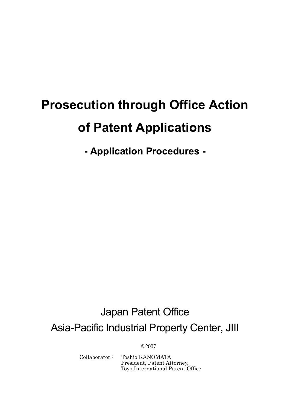# **Prosecution through Office Action of Patent Applications**

**- Application Procedures -** 

## Japan Patent Office Asia-Pacific Industrial Property Center, JIII

©2007

Collaborator : Toshio KANOMATA President, Patent Attorney, Toyo International Patent Office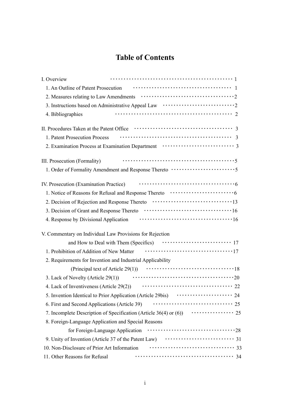## **Table of Contents**

| I. Overview                                                |                                                                                                                               |
|------------------------------------------------------------|-------------------------------------------------------------------------------------------------------------------------------|
|                                                            |                                                                                                                               |
|                                                            |                                                                                                                               |
|                                                            | 3. Instructions based on Administrative Appeal Law $\dots\dots\dots\dots\dots\dots\dots\dots\dots\dots\dots$                  |
| 4. Bibliographies                                          |                                                                                                                               |
|                                                            |                                                                                                                               |
| 1. Patent Prosecution Process                              |                                                                                                                               |
|                                                            |                                                                                                                               |
| III. Prosecution (Formality)                               |                                                                                                                               |
|                                                            | 1. Order of Formality Amendment and Response Thereto $\cdots$                                                                 |
| IV. Prosecution (Examination Practice)                     |                                                                                                                               |
|                                                            | 1. Notice of Reasons for Refusal and Response Thereto<br>$\dots\dots\dots\dots\dots\dots\dots\dots\dots\dots\dots\dots$       |
|                                                            | 2. Decision of Rejection and Response Thereto 13                                                                              |
|                                                            |                                                                                                                               |
| 4. Response by Divisional Application                      |                                                                                                                               |
| V. Commentary on Individual Law Provisions for Rejection   |                                                                                                                               |
|                                                            |                                                                                                                               |
| 1. Prohibition of Addition of New Matter                   |                                                                                                                               |
| 2. Requirements for Invention and Industrial Applicability |                                                                                                                               |
| (Principal text of Article $29(1)$ )                       |                                                                                                                               |
| 3. Lack of Novelty (Article 29(1))                         |                                                                                                                               |
| 4. Lack of Inventiveness (Article 29(2))                   |                                                                                                                               |
|                                                            | 5. Invention Identical to Prior Application (Article 29bis) $\cdots$ $\cdots$ $\cdots$ $\cdots$ $\cdots$ $\cdots$ $\cdots$ 24 |
| 6. First and Second Applications (Article 39)              | 25                                                                                                                            |
|                                                            | 7. Incomplete Description of Specification (Article 36(4) or (6)) $\cdots$ $\cdots$ $\cdots$ $\cdots$ 25                      |
| 8. Foreign-Language Application and Special Reasons        |                                                                                                                               |
|                                                            |                                                                                                                               |
|                                                            |                                                                                                                               |
| 10. Non-Disclosure of Prior Art Information                |                                                                                                                               |
| 11. Other Reasons for Refusal                              |                                                                                                                               |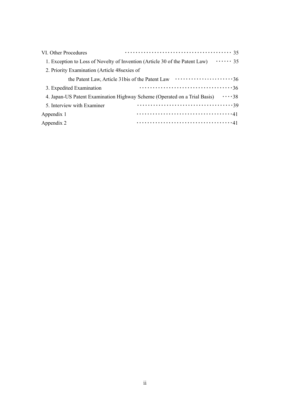| VI. Other Procedures                            |                                                                                                   |
|-------------------------------------------------|---------------------------------------------------------------------------------------------------|
|                                                 | $\cdots \cdots 35$<br>1. Exception to Loss of Novelty of Invention (Article 30 of the Patent Law) |
| 2. Priority Examination (Article 48 sexies of   |                                                                                                   |
| the Patent Law, Article 31bis of the Patent Law | $\cdots \cdots \cdots \cdots \cdots \cdots \cdots \cdots 36$                                      |
| 3. Expedited Examination                        | 36                                                                                                |
|                                                 | $\cdots$ 38<br>4. Japan-US Patent Examination Highway Scheme (Operated on a Trial Basis)          |
| 5. Interview with Examiner                      |                                                                                                   |
| Appendix 1                                      |                                                                                                   |
| Appendix 2                                      |                                                                                                   |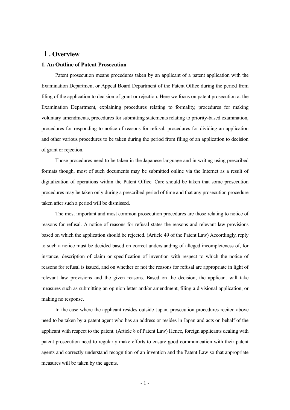#### Ⅰ**. Overview**

#### **1. An Outline of Patent Prosecution**

 Patent prosecution means procedures taken by an applicant of a patent application with the Examination Department or Appeal Board Department of the Patent Office during the period from filing of the application to decision of grant or rejection. Here we focus on patent prosecution at the Examination Department, explaining procedures relating to formality, procedures for making voluntary amendments, procedures for submitting statements relating to priority-based examination, procedures for responding to notice of reasons for refusal, procedures for dividing an application and other various procedures to be taken during the period from filing of an application to decision of grant or rejection.

 Those procedures need to be taken in the Japanese language and in writing using prescribed formats though, most of such documents may be submitted online via the Internet as a result of digitalization of operations within the Patent Office. Care should be taken that some prosecution procedures may be taken only during a prescribed period of time and that any prosecution procedure taken after such a period will be dismissed.

 The most important and most common prosecution procedures are those relating to notice of reasons for refusal. A notice of reasons for refusal states the reasons and relevant law provisions based on which the application should be rejected. (Article 49 of the Patent Law) Accordingly, reply to such a notice must be decided based on correct understanding of alleged incompleteness of, for instance, description of claim or specification of invention with respect to which the notice of reasons for refusal is issued, and on whether or not the reasons for refusal are appropriate in light of relevant law provisions and the given reasons. Based on the decision, the applicant will take measures such as submitting an opinion letter and/or amendment, filing a divisional application, or making no response.

 In the case where the applicant resides outside Japan, prosecution procedures recited above need to be taken by a patent agent who has an address or resides in Japan and acts on behalf of the applicant with respect to the patent. (Article 8 of Patent Law) Hence, foreign applicants dealing with patent prosecution need to regularly make efforts to ensure good communication with their patent agents and correctly understand recognition of an invention and the Patent Law so that appropriate measures will be taken by the agents.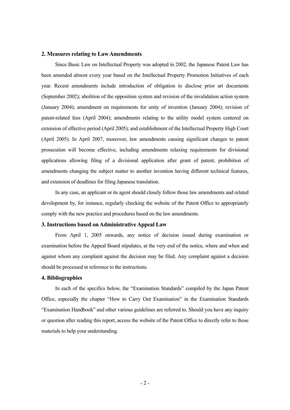#### **2. Measures relating to Law Amendments**

 Since Basic Law on Intellectual Property was adopted in 2002, the Japanese Patent Law has been amended almost every year based on the Intellectual Property Promotion Initiatives of each year. Recent amendments include introduction of obligation to disclose prior art documents (September 2002); abolition of the opposition system and revision of the invalidation action system (January 2004); amendment on requirements for unity of invention (January 2004); revision of patent-related fees (April 2004); amendments relating to the utility model system centered on extension of effective period (April 2005); and establishment of the Intellectual Property High Court (April 2005). In April 2007, moreover, law amendments causing significant changes to patent prosecution will become effective, including amendments relaxing requirements for divisional applications allowing filing of a divisional application after grant of patent, prohibition of amendments changing the subject matter to another invention having different technical features, and extension of deadlines for filing Japanese translation.

 In any case, an applicant or its agent should closely follow those law amendments and related development by, for instance, regularly checking the website of the Patent Office to appropriately comply with the new practice and procedures based on the law amendments.

#### **3. Instructions based on Administrative Appeal Law**

 From April 1, 2005 onwards, any notice of decision issued during examination or examination before the Appeal Board stipulates, at the very end of the notice, where and when and against whom any complaint against the decision may be filed. Any complaint against a decision should be processed in reference to the instructions.

#### **4. Bibliographies**

 In each of the specifics below, the "Examination Standards" compiled by the Japan Patent Office, especially the chapter "How to Carry Out Examination" in the Examination Standards "Examination Handbook" and other various guidelines are referred to. Should you have any inquiry or question after reading this report, access the website of the Patent Office to directly refer to those materials to help your understanding.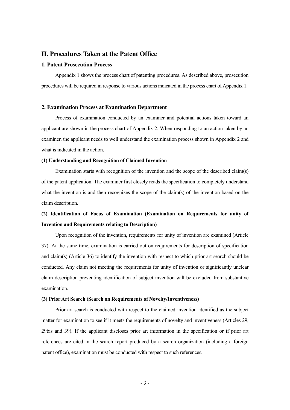#### **II. Procedures Taken at the Patent Office**

#### **1. Patent Prosecution Process**

 Appendix 1 shows the process chart of patenting procedures. As described above, prosecution procedures will be required in response to various actions indicated in the process chart of Appendix 1.

#### **2. Examination Process at Examination Department**

 Process of examination conducted by an examiner and potential actions taken toward an applicant are shown in the process chart of Appendix 2. When responding to an action taken by an examiner, the applicant needs to well understand the examination process shown in Appendix 2 and what is indicated in the action.

#### **(1) Understanding and Recognition of Claimed Invention**

 Examination starts with recognition of the invention and the scope of the described claim(s) of the patent application. The examiner first closely reads the specification to completely understand what the invention is and then recognizes the scope of the claim(s) of the invention based on the claim description.

## **(2) Identification of Focus of Examination (Examination on Requirements for unity of Invention and Requirements relating to Description)**

 Upon recognition of the invention, requirements for unity of invention are examined (Article 37). At the same time, examination is carried out on requirements for description of specification and claim(s) (Article 36) to identify the invention with respect to which prior art search should be conducted. Any claim not meeting the requirements for unity of invention or significantly unclear claim description preventing identification of subject invention will be excluded from substantive examination.

#### **(3) Prior Art Search (Search on Requirements of Novelty/Inventiveness)**

 Prior art search is conducted with respect to the claimed invention identified as the subject matter for examination to see if it meets the requirements of novelty and inventiveness (Articles 29, 29bis and 39). If the applicant discloses prior art information in the specification or if prior art references are cited in the search report produced by a search organization (including a foreign patent office), examination must be conducted with respect to such references.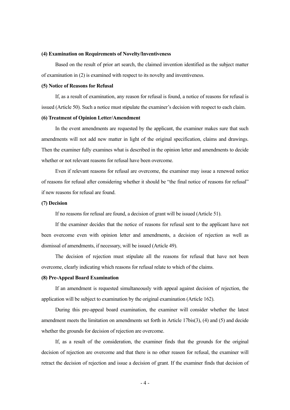#### **(4) Examination on Requirements of Novelty/Inventiveness**

 Based on the result of prior art search, the claimed invention identified as the subject matter of examination in (2) is examined with respect to its novelty and inventiveness.

#### **(5) Notice of Reasons for Refusal**

 If, as a result of examination, any reason for refusal is found, a notice of reasons for refusal is issued (Article 50). Such a notice must stipulate the examiner's decision with respect to each claim.

#### **(6) Treatment of Opinion Letter/Amendment**

 In the event amendments are requested by the applicant, the examiner makes sure that such amendments will not add new matter in light of the original specification, claims and drawings. Then the examiner fully examines what is described in the opinion letter and amendments to decide whether or not relevant reasons for refusal have been overcome.

 Even if relevant reasons for refusal are overcome, the examiner may issue a renewed notice of reasons for refusal after considering whether it should be "the final notice of reasons for refusal" if new reasons for refusal are found.

#### **(7) Decision**

If no reasons for refusal are found, a decision of grant will be issued (Article 51).

 If the examiner decides that the notice of reasons for refusal sent to the applicant have not been overcome even with opinion letter and amendments, a decision of rejection as well as dismissal of amendments, if necessary, will be issued (Article 49).

 The decision of rejection must stipulate all the reasons for refusal that have not been overcome, clearly indicating which reasons for refusal relate to which of the claims.

#### **(8) Pre-Appeal Board Examination**

 If an amendment is requested simultaneously with appeal against decision of rejection, the application will be subject to examination by the original examination (Article 162).

 During this pre-appeal board examination, the examiner will consider whether the latest amendment meets the limitation on amendments set forth in Article 17bis(3), (4) and (5) and decide whether the grounds for decision of rejection are overcome.

 If, as a result of the consideration, the examiner finds that the grounds for the original decision of rejection are overcome and that there is no other reason for refusal, the examiner will retract the decision of rejection and issue a decision of grant. If the examiner finds that decision of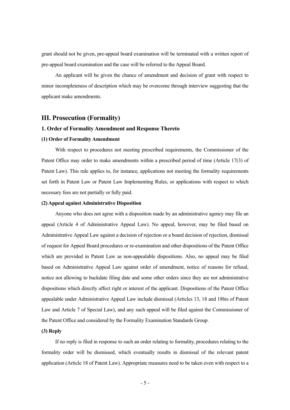grant should not be given, pre-appeal board examination will be terminated with a written report of pre-appeal board examination and the case will be referred to the Appeal Board.

 An applicant will be given the chance of amendment and decision of grant with respect to minor incompleteness of description which may be overcome through interview suggesting that the applicant make amendments.

#### **III. Prosecution (Formality)**

#### **1. Order of Formality Amendment and Response Thereto**

#### **(1) Order of Formality Amendment**

 With respect to procedures not meeting prescribed requirements, the Commissioner of the Patent Office may order to make amendments within a prescribed period of time (Article 17(3) of Patent Law). This rule applies to, for instance, applications not meeting the formality requirements set forth in Patent Law or Patent Law Implementing Rules, or applications with respect to which necessary fees are not partially or fully paid.

#### **(2) Appeal against Administrative Disposition**

 Anyone who does not agree with a disposition made by an administrative agency may file an appeal (Article 4 of Administrative Appeal Law). No appeal, however, may be filed based on Administrative Appeal Law against a decision of rejection or a board decision of rejection, dismissal of request for Appeal Board procedures or re-examination and other dispositions of the Patent Office which are provided in Patent Law as non-appealable dispositions. Also, no appeal may be filed based on Administrative Appeal Law against order of amendment, notice of reasons for refusal, notice not allowing to backdate filing date and some other orders since they are not administrative dispositions which directly affect right or interest of the applicant. Dispositions of the Patent Office appealable under Administrative Appeal Law include dismissal (Articles 13, 18 and 18bis of Patent Law and Article 7 of Special Law), and any such appeal will be filed against the Commissioner of the Patent Office and considered by the Formality Examination Standards Group.

#### **(3) Reply**

 If no reply is filed in response to such an order relating to formality, procedures relating to the formality order will be dismissed, which eventually results in dismissal of the relevant patent application (Article 18 of Patent Law). Appropriate measures need to be taken even with respect to a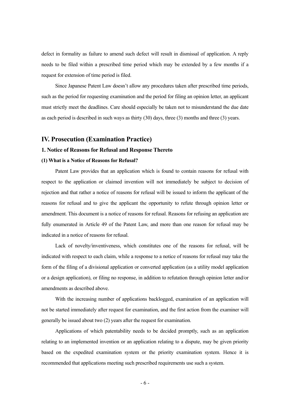defect in formality as failure to amend such defect will result in dismissal of application. A reply needs to be filed within a prescribed time period which may be extended by a few months if a request for extension of time period is filed.

 Since Japanese Patent Law doesn't allow any procedures taken after prescribed time periods, such as the period for requesting examination and the period for filing an opinion letter, an applicant must strictly meet the deadlines. Care should especially be taken not to misunderstand the due date as each period is described in such ways as thirty (30) days, three (3) months and three (3) years.

#### **IV. Prosecution (Examination Practice)**

#### **1. Notice of Reasons for Refusal and Response Thereto**

#### **(1) What is a Notice of Reasons for Refusal?**

 Patent Law provides that an application which is found to contain reasons for refusal with respect to the application or claimed invention will not immediately be subject to decision of rejection and that rather a notice of reasons for refusal will be issued to inform the applicant of the reasons for refusal and to give the applicant the opportunity to refute through opinion letter or amendment. This document is a notice of reasons for refusal. Reasons for refusing an application are fully enumerated in Article 49 of the Patent Law, and more than one reason for refusal may be indicated in a notice of reasons for refusal.

 Lack of novelty/inventiveness, which constitutes one of the reasons for refusal, will be indicated with respect to each claim, while a response to a notice of reasons for refusal may take the form of the filing of a divisional application or converted application (as a utility model application or a design application), or filing no response, in addition to refutation through opinion letter and/or amendments as described above.

 With the increasing number of applications backlogged, examination of an application will not be started immediately after request for examination, and the first action from the examiner will generally be issued about two (2) years after the request for examination.

 Applications of which patentability needs to be decided promptly, such as an application relating to an implemented invention or an application relating to a dispute, may be given priority based on the expedited examination system or the priority examination system. Hence it is recommended that applications meeting such prescribed requirements use such a system.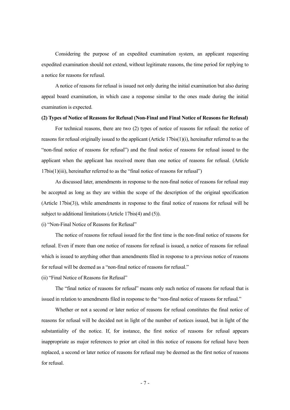Considering the purpose of an expedited examination system, an applicant requesting expedited examination should not extend, without legitimate reasons, the time period for replying to a notice for reasons for refusal.

 A notice of reasons for refusal is issued not only during the initial examination but also during appeal board examination, in which case a response similar to the ones made during the initial examination is expected.

#### **(2) Types of Notice of Reasons for Refusal (Non-Final and Final Notice of Reasons for Refusal)**

 For technical reasons, there are two (2) types of notice of reasons for refusal: the notice of reasons for refusal originally issued to the applicant (Article 17bis(1)(i), hereinafter referred to as the "non-final notice of reasons for refusal") and the final notice of reasons for refusal issued to the applicant when the applicant has received more than one notice of reasons for refusal. (Article 17bis(1)(iii), hereinafter referred to as the "final notice of reasons for refusal")

 As discussed later, amendments in response to the non-final notice of reasons for refusal may be accepted as long as they are within the scope of the description of the original specification (Article 17bis(3)), while amendments in response to the final notice of reasons for refusal will be subject to additional limitations (Article 17bis(4) and (5)).

(i) "Non-Final Notice of Reasons for Refusal"

 The notice of reasons for refusal issued for the first time is the non-final notice of reasons for refusal. Even if more than one notice of reasons for refusal is issued, a notice of reasons for refusal which is issued to anything other than amendments filed in response to a previous notice of reasons for refusal will be deemed as a "non-final notice of reasons for refusal."

(ii) "Final Notice of Reasons for Refusal"

 The "final notice of reasons for refusal" means only such notice of reasons for refusal that is issued in relation to amendments filed in response to the "non-final notice of reasons for refusal."

 Whether or not a second or later notice of reasons for refusal constitutes the final notice of reasons for refusal will be decided not in light of the number of notices issued, but in light of the substantiality of the notice. If, for instance, the first notice of reasons for refusal appears inappropriate as major references to prior art cited in this notice of reasons for refusal have been replaced, a second or later notice of reasons for refusal may be deemed as the first notice of reasons for refusal.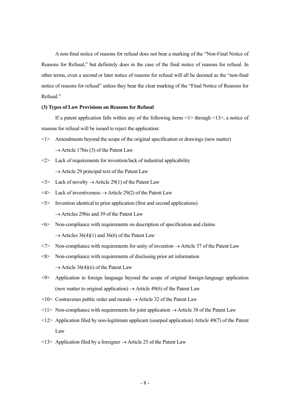A non-final notice of reasons for refusal does not bear a marking of the "Non-Final Notice of Reasons for Refusal," but definitely does in the case of the final notice of reasons for refusal. In other terms, even a second or later notice of reasons for refusal will all be deemed as the "non-final notice of reasons for refusal" unless they bear the clear marking of the "Final Notice of Reasons for Refusal."

#### **(3) Types of Law Provisions on Reasons for Refusal**

If a patent application falls within any of the following items  $\langle 1 \rangle$  through  $\langle 1 \rangle$ , a notice of reasons for refusal will be issued to reject the application:

- <1> Amendments beyond the scope of the original specification or drawings (new matter)  $\rightarrow$  Article 17bis (3) of the Patent Law
- $\langle 2 \rangle$  Lack of requirements for invention/lack of industrial applicability  $\rightarrow$  Article 29 principal text of the Patent Law
- $\langle 3 \rangle$  Lack of novelty  $\rightarrow$  Article 29(1) of the Patent Law
- $\langle 4 \rangle$  Lack of inventiveness  $\rightarrow$  Article 29(2) of the Patent Law
- <5> Invention identical to prior application (first and second applications)  $\rightarrow$  Articles 29bis and 39 of the Patent Law
- <6> Non-compliance with requirements on description of specification and claims  $\rightarrow$  Articles 36(4)(1) and 36(6) of the Patent Law
- $\langle 7 \rangle$  Non-compliance with requirements for unity of invention  $\rightarrow$  Article 37 of the Patent Law
- <8> Non-compliance with requirements of disclosing prior art information  $\rightarrow$  Article 36(4)(ii) of the Patent Law
- <9> Application in foreign language beyond the scope of original foreign-language application (new matter to original application)  $\rightarrow$  Article 49(6) of the Patent Law
- $\langle 10 \rangle$  Contravenes public order and morals  $\rightarrow$  Article 32 of the Patent Law
- $\langle 11 \rangle$  Non-compliance with requirements for joint application  $\rightarrow$  Article 38 of the Patent Law
- <12> Application filed by non-legitimate applicant (usurped application) Article 49(7) of the Patent Law
- $\langle 13 \rangle$  Application filed by a foreigner  $\rightarrow$  Article 25 of the Patent Law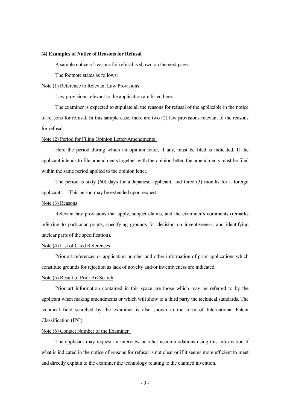#### **(4) Examples of Notice of Reasons for Refusal**

A sample notice of reasons for refusal is shown on the next page.

The footnote states as follows:

#### Note (1) Reference to Relevant Law Provisions

Law provisions relevant to the application are listed here.

 The examiner is expected to stipulate all the reasons for refusal of the applicable in the notice of reasons for refusal. In this sample case, there are two (2) law provisions relevant to the reasons for refusal.

#### Note (2) Period for Filing Opinion Letter/Amendments

 Here the period during which an opinion letter, if any, must be filed is indicated. If the applicant intends to file amendments together with the opinion letter, the amendments must be filed within the same period applied to the opinion letter.

 The period is sixty (60) days for a Japanese applicant, and three (3) months for a foreign applicant. This period may be extended upon request.

#### Note (3) Reasons

 Relevant law provisions that apply, subject claims, and the examiner's comments (remarks referring to particular points, specifying grounds for decision on inventiveness, and identifying unclear parts of the specification).

#### Note (4) List of Cited References

 Prior art references or application number and other information of prior applications which constitute grounds for rejection as lack of novelty and/or inventiveness are indicated.

#### Note (5) Result of Prior Art Search

 Prior art information contained in this space are those which may be referred to by the applicant when making amendments or which will show to a third party the technical standards. The technical field searched by the examiner is also shown in the form of International Patent Classification (IPC).

#### Note (6) Contact Number of the Examiner

 The applicant may request an interview or other accommodations using this information if what is indicated in the notice of reasons for refusal is not clear or if it seems more efficient to meet and directly explain to the examiner the technology relating to the claimed invention.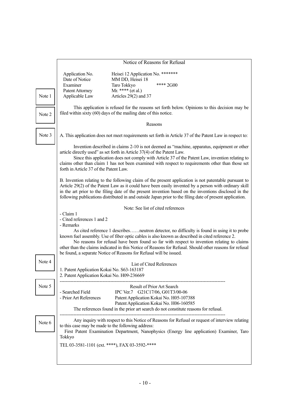#### Notice of Reasons for Refusal

Date of Notice MM DD, Heisei 18 Patent Attorney Mr. \*\*\*\* (et al.) Applicable Law Articles 29(2) and 37

Application No. **Heisei 12 Application No.** \*\*\*\*\*\*\* Examiner Taro Tokkyo \*\*\*\* 2G00

Note 1

Note 2

 This application is refused for the reasons set forth below. Opinions to this decision may be filed within sixty (60) days of the mailing date of this notice.

#### Reasons

A. This application does not meet requirements set forth in Article 37 of the Patent Law in respect to:

Note 3

 Invention described in claims 2-10 is not deemed as "machine, apparatus, equipment or other article directly used" as set forth in Article 37(4) of the Patent Law.

 Since this application does not comply with Article 37 of the Patent Law, invention relating to claims other than claim 1 has not been examined with respect to requirements other than those set forth in Article 37 of the Patent Law.

B. Invention relating to the following claim of the present application is not patentable pursuant to Article 29(2) of the Patent Law as it could have been easily invented by a person with ordinary skill in the art prior to the filing date of the present invention based on the inventions disclosed in the following publications distributed in and outside Japan prior to the filing date of present application.

Note: See list of cited references

- Claim 1

- Cited references 1 and 2

- Remarks

 As cited reference 1 describes……neutron detector, no difficulty is found in using it to probe known fuel assembly. Use of fiber optic cables is also known as described in cited reference 2.

 No reasons for refusal have been found so far with respect to invention relating to claims other than the claims indicated in this Notice of Reasons for Refusal. Should other reasons for refusal be found, a separate Notice of Reasons for Refusal will be issued.

| Note 4 | List of Cited References<br>1. Patent Application Kokai No. S63-163187<br>2. Patent Application Kokai No. H09-236669                                                                                                                                         |  |  |
|--------|--------------------------------------------------------------------------------------------------------------------------------------------------------------------------------------------------------------------------------------------------------------|--|--|
| Note 5 | Result of Prior Art Search<br>- Searched Field<br>IPC Ver.7 G21C17/06, G01T3/00-06                                                                                                                                                                           |  |  |
|        | Patent Application Kokai No. H05-107388<br>- Prior Art References<br>Patent Application Kokai No. H06-160585<br>The references found in the prior art search do not constitute reasons for refusal.                                                          |  |  |
| Note 6 | Any inquiry with respect to this Notice of Reasons for Refusal or request of interview relating<br>to this case may be made to the following address:<br>First Patent Examination Department, Nanophysics (Energy line application) Examiner, Taro<br>Tokkyo |  |  |
|        | TEL 03-3581-1101 (ext. ****), FAX 03-3592-****                                                                                                                                                                                                               |  |  |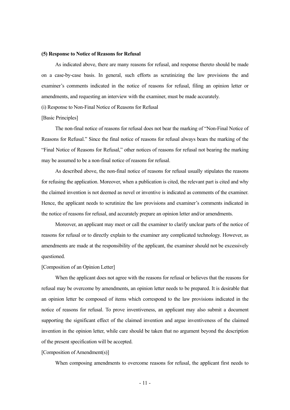#### **(5) Response to Notice of Reasons for Refusal**

 As indicated above, there are many reasons for refusal, and response thereto should be made on a case-by-case basis. In general, such efforts as scrutinizing the law provisions the and examiner's comments indicated in the notice of reasons for refusal, filing an opinion letter or amendments, and requesting an interview with the examiner, must be made accurately.

(i) Response to Non-Final Notice of Reasons for Refusal

#### [Basic Principles]

 The non-final notice of reasons for refusal does not bear the marking of "Non-Final Notice of Reasons for Refusal." Since the final notice of reasons for refusal always bears the marking of the "Final Notice of Reasons for Refusal," other notices of reasons for refusal not bearing the marking may be assumed to be a non-final notice of reasons for refusal.

 As described above, the non-final notice of reasons for refusal usually stipulates the reasons for refusing the application. Moreover, when a publication is cited, the relevant part is cited and why the claimed invention is not deemed as novel or inventive is indicated as comments of the examiner. Hence, the applicant needs to scrutinize the law provisions and examiner's comments indicated in the notice of reasons for refusal, and accurately prepare an opinion letter and/or amendments.

 Moreover, an applicant may meet or call the examiner to clarify unclear parts of the notice of reasons for refusal or to directly explain to the examiner any complicated technology. However, as amendments are made at the responsibility of the applicant, the examiner should not be excessively questioned.

#### [Composition of an Opinion Letter]

 When the applicant does not agree with the reasons for refusal or believes that the reasons for refusal may be overcome by amendments, an opinion letter needs to be prepared. It is desirable that an opinion letter be composed of items which correspond to the law provisions indicated in the notice of reasons for refusal. To prove inventiveness, an applicant may also submit a document supporting the significant effect of the claimed invention and argue inventiveness of the claimed invention in the opinion letter, while care should be taken that no argument beyond the description of the present specification will be accepted.

#### [Composition of Amendment(s)]

When composing amendments to overcome reasons for refusal, the applicant first needs to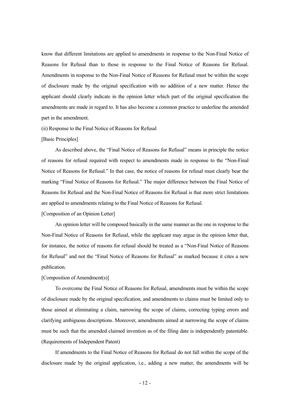know that different limitations are applied to amendments in response to the Non-Final Notice of Reasons for Refusal than to those in response to the Final Notice of Reasons for Refusal. Amendments in response to the Non-Final Notice of Reasons for Refusal must be within the scope of disclosure made by the original specification with no addition of a new matter. Hence the applicant should clearly indicate in the opinion letter which part of the original specification the amendments are made in regard to. It has also become a common practice to underline the amended part in the amendment.

(ii) Response to the Final Notice of Reasons for Refusal

#### [Basic Principles]

 As described above, the "Final Notice of Reasons for Refusal" means in principle the notice of reasons for refusal required with respect to amendments made in response to the "Non-Final Notice of Reasons for Refusal." In that case, the notice of reasons for refusal must clearly bear the marking "Final Notice of Reasons for Refusal." The major difference between the Final Notice of Reasons for Refusal and the Non-Final Notice of Reasons for Refusal is that more strict limitations are applied to amendments relating to the Final Notice of Reasons for Refusal.

[Composition of an Opinion Letter]

 An opinion letter will be composed basically in the same manner as the one in response to the Non-Final Notice of Reasons for Refusal, while the applicant may argue in the opinion letter that, for instance, the notice of reasons for refusal should be treated as a "Non-Final Notice of Reasons for Refusal" and not the "Final Notice of Reasons for Refusal" as marked because it cites a new publication.

#### [Composition of Amendment(s)]

 To overcome the Final Notice of Reasons for Refusal, amendments must be within the scope of disclosure made by the original specification, and amendments to claims must be limited only to those aimed at eliminating a claim, narrowing the scope of claims, correcting typing errors and clarifying ambiguous descriptions. Moreover, amendments aimed at narrowing the scope of claims must be such that the amended claimed invention as of the filing date is independently patentable. (Requirements of Independent Patent)

 If amendments to the Final Notice of Reasons for Refusal do not fall within the scope of the disclosure made by the original application, i.e., adding a new matter, the amendments will be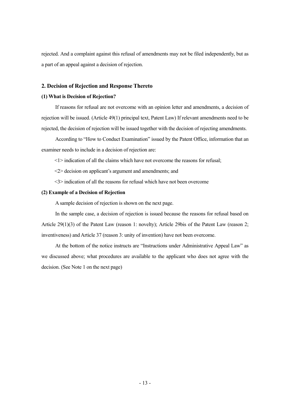rejected. And a complaint against this refusal of amendments may not be filed independently, but as a part of an appeal against a decision of rejection.

#### **2. Decision of Rejection and Response Thereto**

#### **(1) What is Decision of Rejection?**

 If reasons for refusal are not overcome with an opinion letter and amendments, a decision of rejection will be issued. (Article 49(1) principal text, Patent Law) If relevant amendments need to be rejected, the decision of rejection will be issued together with the decision of rejecting amendments.

 According to "How to Conduct Examination" issued by the Patent Office, information that an examiner needs to include in a decision of rejection are:

<1> indication of all the claims which have not overcome the reasons for refusal;

<2> decision on applicant's argument and amendments; and

<3> indication of all the reasons for refusal which have not been overcome

#### **(2) Example of a Decision of Rejection**

A sample decision of rejection is shown on the next page.

 In the sample case, a decision of rejection is issued because the reasons for refusal based on Article 29(1)(3) of the Patent Law (reason 1: novelty); Article 29bis of the Patent Law (reason 2; inventiveness) and Article 37 (reason 3: unity of invention) have not been overcome.

 At the bottom of the notice instructs are "Instructions under Administrative Appeal Law" as we discussed above; what procedures are available to the applicant who does not agree with the decision. (See Note 1 on the next page)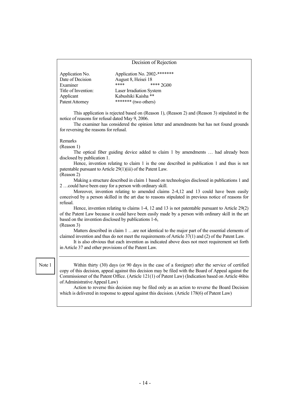#### Decision of Rejection

| Application No.     | Application No. 2002-******* |  |
|---------------------|------------------------------|--|
| Date of Decision    | August 8, Heisei 18          |  |
| Examiner            | ****<br>$****2G00$           |  |
| Title of Invention: | Laser Irradiation System     |  |
| Applicant           | Kabushiki Kaisha **          |  |
| Patent Attorney     | ******* (two others)         |  |

 This application is rejected based on (Reason 1), (Reason 2) and (Reason 3) stipulated in the notice of reasons for refusal dated May 9, 2006.

 The examiner has considered the opinion letter and amendments but has not found grounds for reversing the reasons for refusal.

#### Remarks

(Reason 1)

 The optical fiber guiding device added to claim 1 by amendments … had already been disclosed by publication 1.

 Hence, invention relating to claim 1 is the one described in publication 1 and thus is not patentable pursuant to Article 29(1)(iii) of the Patent Law.

#### (Reason 2)

 Making a structure described in claim 1 based on technologies disclosed in publications 1 and 2 …could have been easy for a person with ordinary skill.

 Moreover, invention relating to amended claims 2-4,12 and 13 could have been easily conceived by a person skilled in the art due to reasons stipulated in previous notice of reasons for refusal.

Hence, invention relating to claims 1-4, 12 and 13 is not patentable pursuant to Article 29(2) of the Patent Law because it could have been easily made by a person with ordinary skill in the art based on the invention disclosed by publications 1-6, (Reason 3)

Matters described in claim 1 …are not identical to the major part of the essential elements of claimed invention and thus do not meet the requirements of Article 37(1) and (2) of the Patent Law.

 It is also obvious that each invention as indicated above does not meet requirement set forth in Article 37 and other provisions of the Patent Law.

Note 1

 Within thirty (30) days (or 90 days in the case of a foreigner) after the service of certified copy of this decision, appeal against this decision may be filed with the Board of Appeal against the Commissioner of the Patent Office. (Article 121(1) of Patent Law) (Indication based on Article 46bis of Administrative Appeal Law)

 Action to reverse this decision may be filed only as an action to reverse the Board Decision which is delivered in response to appeal against this decision. (Article 178(6) of Patent Law)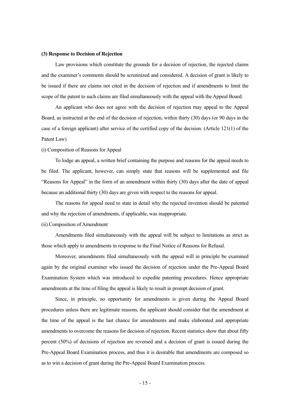#### **(3) Response to Decision of Rejection**

 Law provisions which constitute the grounds for a decision of rejection, the rejected claims and the examiner's comments should be scrutinized and considered. A decision of grant is likely to be issued if there are claims not cited in the decision of rejection and if amendments to limit the scope of the patent to such claims are filed simultaneously with the appeal with the Appeal Board.

 An applicant who does not agree with the decision of rejection may appeal to the Appeal Board, as instructed at the end of the decision of rejection, within thirty (30) days (or 90 days in the case of a foreign applicant) after service of the certified copy of the decision. (Article 121(1) of the Patent Law)

#### (i) Composition of Reasons for Appeal

 To lodge an appeal, a written brief containing the purpose and reasons for the appeal needs to be filed. The applicant, however, can simply state that reasons will be supplemented and file "Reasons for Appeal" in the form of an amendment within thirty (30) days after the date of appeal because an additional thirty (30) days are given with respect to the reasons for appeal.

 The reasons for appeal need to state in detail why the rejected invention should be patented and why the rejection of amendments, if applicable, was inappropriate.

#### (ii) Composition of Amendment

 Amendments filed simultaneously with the appeal will be subject to limitations as strict as those which apply to amendments in response to the Final Notice of Reasons for Refusal.

 Moreover, amendments filed simultaneously with the appeal will in principle be examined again by the original examiner who issued the decision of rejection under the Pre-Appeal Board Examination System which was introduced to expedite patenting procedures. Hence appropriate amendments at the time of filing the appeal is likely to result in prompt decision of grant.

 Since, in principle, no opportunity for amendments is given during the Appeal Board procedures unless there are legitimate reasons, the applicant should consider that the amendment at the time of the appeal is the last chance for amendments and make elaborated and appropriate amendments to overcome the reasons for decision of rejection. Recent statistics show that about fifty percent (50%) of decisions of rejection are reversed and a decision of grant is issued during the Pre-Appeal Board Examination process, and thus it is desirable that amendments are composed so as to win a decision of grant during the Pre-Appeal Board Examination process.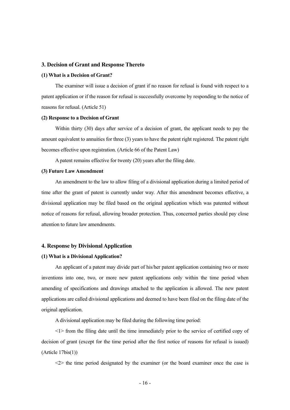#### **3. Decision of Grant and Response Thereto**

#### **(1) What is a Decision of Grant?**

 The examiner will issue a decision of grant if no reason for refusal is found with respect to a patent application or if the reason for refusal is successfully overcome by responding to the notice of reasons for refusal. (Article 51)

#### **(2) Response to a Decision of Grant**

 Within thirty (30) days after service of a decision of grant, the applicant needs to pay the amount equivalent to annuities for three (3) years to have the patent right registered. The patent right becomes effective upon registration. (Article 66 of the Patent Law)

A patent remains effective for twenty (20) years after the filing date.

#### **(3) Future Law Amendment**

 An amendment to the law to allow filing of a divisional application during a limited period of time after the grant of patent is currently under way. After this amendment becomes effective, a divisional application may be filed based on the original application which was patented without notice of reasons for refusal, allowing broader protection. Thus, concerned parties should pay close attention to future law amendments.

#### **4. Response by Divisional Application**

#### **(1) What is a Divisional Application?**

 An applicant of a patent may divide part of his/her patent application containing two or more inventions into one, two, or more new patent applications only within the time period when amending of specifications and drawings attached to the application is allowed. The new patent applications are called divisional applications and deemed to have been filed on the filing date of the original application.

A divisional application may be filed during the following time period:

 <1> from the filing date until the time immediately prior to the service of certified copy of decision of grant (except for the time period after the first notice of reasons for refusal is issued) (Article 17bis(1))

 $\langle 2 \rangle$  the time period designated by the examiner (or the board examiner once the case is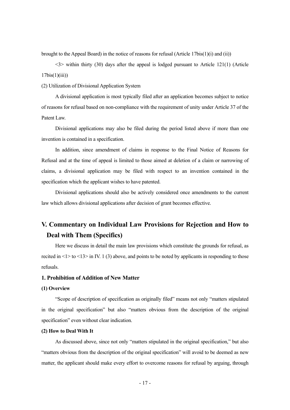brought to the Appeal Board) in the notice of reasons for refusal (Article  $17\text{bis}(1)(i)$  and (ii))

 $\langle 3 \rangle$  within thirty (30) days after the appeal is lodged pursuant to Article 121(1) (Article  $17\text{bis}(1)(iii)$ 

(2) Utilization of Divisional Application System

 A divisional application is most typically filed after an application becomes subject to notice of reasons for refusal based on non-compliance with the requirement of unity under Article 37 of the Patent Law.

 Divisional applications may also be filed during the period listed above if more than one invention is contained in a specification.

 In addition, since amendment of claims in response to the Final Notice of Reasons for Refusal and at the time of appeal is limited to those aimed at deletion of a claim or narrowing of claims, a divisional application may be filed with respect to an invention contained in the specification which the applicant wishes to have patented.

 Divisional applications should also be actively considered once amendments to the current law which allows divisional applications after decision of grant becomes effective.

## **V. Commentary on Individual Law Provisions for Rejection and How to Deal with Them (Specifics)**

 Here we discuss in detail the main law provisions which constitute the grounds for refusal, as recited in  $\leq 1$  to  $\leq 13$  in IV. 1 (3) above, and points to be noted by applicants in responding to those refusals.

#### **1. Prohibition of Addition of New Matter**

#### **(1) Overview**

 "Scope of description of specification as originally filed" means not only "matters stipulated in the original specification" but also "matters obvious from the description of the original specification" even without clear indication.

#### **(2) How to Deal With It**

 As discussed above, since not only "matters stipulated in the original specification," but also "matters obvious from the description of the original specification" will avoid to be deemed as new matter, the applicant should make every effort to overcome reasons for refusal by arguing, through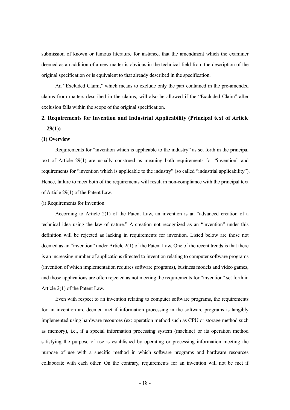submission of known or famous literature for instance, that the amendment which the examiner deemed as an addition of a new matter is obvious in the technical field from the description of the original specification or is equivalent to that already described in the specification.

 An "Excluded Claim," which means to exclude only the part contained in the pre-amended claims from matters described in the claims, will also be allowed if the "Excluded Claim" after exclusion falls within the scope of the original specification.

## **2. Requirements for Invention and Industrial Applicability (Principal text of Article 29(1))**

#### **(1) Overview**

 Requirements for "invention which is applicable to the industry" as set forth in the principal text of Article 29(1) are usually construed as meaning both requirements for "invention" and requirements for "invention which is applicable to the industry" (so called "industrial applicability"). Hence, failure to meet both of the requirements will result in non-compliance with the principal text of Article 29(1) of the Patent Law.

#### (i) Requirements for Invention

 According to Article 2(1) of the Patent Law, an invention is an "advanced creation of a technical idea using the law of nature." A creation not recognized as an "invention" under this definition will be rejected as lacking in requirements for invention. Listed below are those not deemed as an "invention" under Article 2(1) of the Patent Law. One of the recent trends is that there is an increasing number of applications directed to invention relating to computer software programs (invention of which implementation requires software programs), business models and video games, and those applications are often rejected as not meeting the requirements for "invention" set forth in Article 2(1) of the Patent Law.

 Even with respect to an invention relating to computer software programs, the requirements for an invention are deemed met if information processing in the software programs is tangibly implemented using hardware resources (ex: operation method such as CPU or storage method such as memory), i.e., if a special information processing system (machine) or its operation method satisfying the purpose of use is established by operating or processing information meeting the purpose of use with a specific method in which software programs and hardware resources collaborate with each other. On the contrary, requirements for an invention will not be met if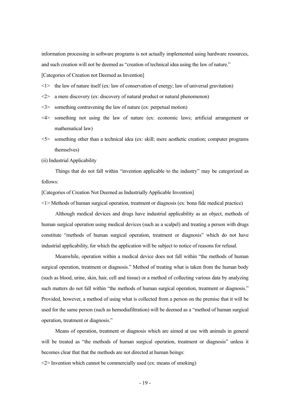information processing in software programs is not actually implemented using hardware resources, and such creation will not be deemed as "creation of technical idea using the law of nature." [Categories of Creation not Deemed as Invention]

 $\leq l$  the law of nature itself (ex: law of conservation of energy; law of universal gravitation)

- <2> a mere discovery (ex: discovery of natural product or natural phenomenon)
- <3> something contravening the law of nature (ex: perpetual motion)
- <4> something not using the law of nature (ex: economic laws; artificial arrangement or mathematical law)
- <5> something other than a technical idea (ex: skill; mere aesthetic creation; computer programs themselves)

(ii) Industrial Applicability

 Things that do not fall within "invention applicable to the industry" may be categorized as follows:

[Categories of Creation Not Deemed as Industrially Applicable Invention]

<1> Methods of human surgical operation, treatment or diagnosis (ex: bona fide medical practice)

 Although medical devices and drugs have industrial applicability as an object, methods of human surgical operation using medical devices (such as a scalpel) and treating a person with drugs constitute "methods of human surgical operation, treatment or diagnosis" which do not have industrial applicability, for which the application will be subject to notice of reasons for refusal.

 Meanwhile, operation within a medical device does not fall within "the methods of human surgical operation, treatment or diagnosis." Method of treating what is taken from the human body (such as blood, urine, skin, hair, cell and tissue) or a method of collecting various data by analyzing such matters do not fall within "the methods of human surgical operation, treatment or diagnosis." Provided, however, a method of using what is collected from a person on the premise that it will be used for the same person (such as hemodiafiltration) will be deemed as a "method of human surgical operation, treatment or diagnosis."

 Means of operation, treatment or diagnosis which are aimed at use with animals in general will be treated as "the methods of human surgical operation, treatment or diagnosis" unless it becomes clear that that the methods are not directed at human beings:

 $\langle 2 \rangle$  Invention which cannot be commercially used (ex: means of smoking)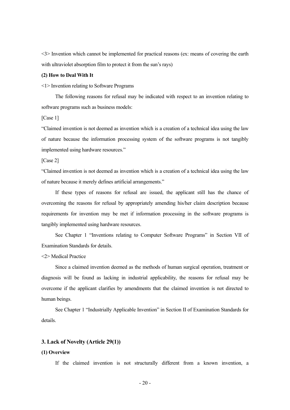<3> Invention which cannot be implemented for practical reasons (ex: means of covering the earth with ultraviolet absorption film to protect it from the sun's rays)

#### **(2) How to Deal With It**

<1> Invention relating to Software Programs

 The following reasons for refusal may be indicated with respect to an invention relating to software programs such as business models:

[Case 1]

"Claimed invention is not deemed as invention which is a creation of a technical idea using the law of nature because the information processing system of the software programs is not tangibly implemented using hardware resources."

[Case 2]

"Claimed invention is not deemed as invention which is a creation of a technical idea using the law of nature because it merely defines artificial arrangements."

 If these types of reasons for refusal are issued, the applicant still has the chance of overcoming the reasons for refusal by appropriately amending his/her claim description because requirements for invention may be met if information processing in the software programs is tangibly implemented using hardware resources.

 See Chapter 1 "Inventions relating to Computer Software Programs" in Section VII of Examination Standards for details.

<2> Medical Practice

 Since a claimed invention deemed as the methods of human surgical operation, treatment or diagnosis will be found as lacking in industrial applicability, the reasons for refusal may be overcome if the applicant clarifies by amendments that the claimed invention is not directed to human beings.

 See Chapter 1 "Industrially Applicable Invention" in Section II of Examination Standards for details.

#### **3. Lack of Novelty (Article 29(1))**

#### **(1) Overview**

If the claimed invention is not structurally different from a known invention, a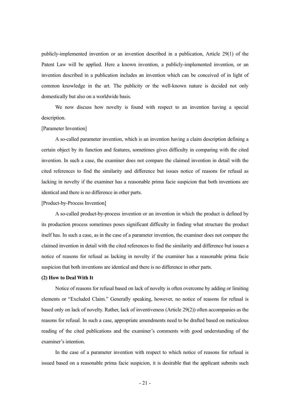publicly-implemented invention or an invention described in a publication, Article 29(1) of the Patent Law will be applied. Here a known invention, a publicly-implemented invention, or an invention described in a publication includes an invention which can be conceived of in light of common knowledge in the art. The publicity or the well-known nature is decided not only domestically but also on a worldwide basis.

 We now discuss how novelty is found with respect to an invention having a special description.

#### [Parameter Invention]

 A so-called parameter invention, which is an invention having a claim description defining a certain object by its function and features, sometimes gives difficulty in comparing with the cited invention. In such a case, the examiner does not compare the claimed invention in detail with the cited references to find the similarity and difference but issues notice of reasons for refusal as lacking in novelty if the examiner has a reasonable prima facie suspicion that both inventions are identical and there is no difference in other parts.

#### [Product-by-Process Invention]

 A so-called product-by-process invention or an invention in which the product is defined by its production process sometimes poses significant difficulty in finding what structure the product itself has. In such a case, as in the case of a parameter invention, the examiner does not compare the claimed invention in detail with the cited references to find the similarity and difference but issues a notice of reasons for refusal as lacking in novelty if the examiner has a reasonable prima facie suspicion that both inventions are identical and there is no difference in other parts.

#### **(2) How to Deal With It**

 Notice of reasons for refusal based on lack of novelty is often overcome by adding or limiting elements or "Excluded Claim." Generally speaking, however, no notice of reasons for refusal is based only on lack of novelty. Rather, lack of inventiveness (Article 29(2)) often accompanies as the reasons for refusal. In such a case, appropriate amendments need to be drafted based on meticulous reading of the cited publications and the examiner's comments with good understanding of the examiner's intention.

 In the case of a parameter invention with respect to which notice of reasons for refusal is issued based on a reasonable prima facie suspicion, it is desirable that the applicant submits such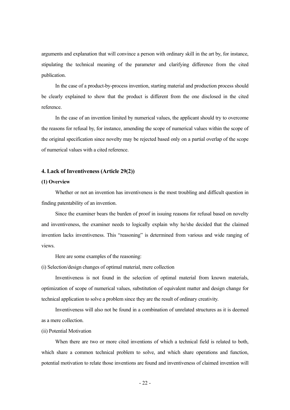arguments and explanation that will convince a person with ordinary skill in the art by, for instance, stipulating the technical meaning of the parameter and clarifying difference from the cited publication.

 In the case of a product-by-process invention, starting material and production process should be clearly explained to show that the product is different from the one disclosed in the cited reference.

 In the case of an invention limited by numerical values, the applicant should try to overcome the reasons for refusal by, for instance, amending the scope of numerical values within the scope of the original specification since novelty may be rejected based only on a partial overlap of the scope of numerical values with a cited reference.

#### **4. Lack of Inventiveness (Article 29(2))**

#### **(1) Overview**

 Whether or not an invention has inventiveness is the most troubling and difficult question in finding patentability of an invention.

 Since the examiner bears the burden of proof in issuing reasons for refusal based on novelty and inventiveness, the examiner needs to logically explain why he/she decided that the claimed invention lacks inventiveness. This "reasoning" is determined from various and wide ranging of views.

Here are some examples of the reasoning:

(i) Selection/design changes of optimal material, mere collection

 Inventiveness is not found in the selection of optimal material from known materials, optimization of scope of numerical values, substitution of equivalent matter and design change for technical application to solve a problem since they are the result of ordinary creativity.

 Inventiveness will also not be found in a combination of unrelated structures as it is deemed as a mere collection.

#### (ii) Potential Motivation

 When there are two or more cited inventions of which a technical field is related to both, which share a common technical problem to solve, and which share operations and function, potential motivation to relate those inventions are found and inventiveness of claimed invention will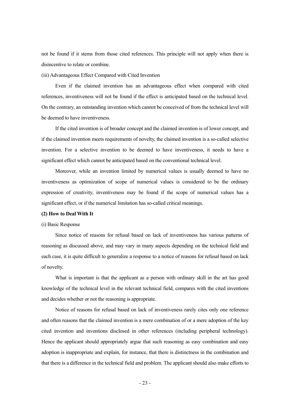not be found if it stems from those cited references. This principle will not apply when there is disincentive to relate or combine.

(iii) Advantageous Effect Compared with Cited Invention

 Even if the claimed invention has an advantageous effect when compared with cited references, inventiveness will not be found if the effect is anticipated based on the technical level. On the contrary, an outstanding invention which cannot be conceived of from the technical level will be deemed to have inventiveness.

 If the cited invention is of broader concept and the claimed invention is of lower concept, and if the claimed invention meets requirements of novelty, the claimed invention is a so-called selective invention. For a selective invention to be deemed to have inventiveness, it needs to have a significant effect which cannot be anticipated based on the conventional technical level.

 Moreover, while an invention limited by numerical values is usually deemed to have no inventiveness as optimization of scope of numerical values is considered to be the ordinary expression of creativity, inventiveness may be found if the scope of numerical values has a significant effect, or if the numerical limitation has so-called critical meanings.

#### **(2) How to Deal With It**

#### (i) Basic Response

 Since notice of reasons for refusal based on lack of inventiveness has various patterns of reasoning as discussed above, and may vary in many aspects depending on the technical field and each case, it is quite difficult to generalize a response to a notice of reasons for refusal based on lack of novelty.

 What is important is that the applicant as a person with ordinary skill in the art has good knowledge of the technical level in the relevant technical field, compares with the cited inventions and decides whether or not the reasoning is appropriate.

 Notice of reasons for refusal based on lack of inventiveness rarely cites only one reference and often reasons that the claimed invention is a mere combination of or a mere adoption of the key cited invention and inventions disclosed in other references (including peripheral technology). Hence the applicant should appropriately argue that such reasoning as easy combination and easy adoption is inappropriate and explain, for instance, that there is distinctness in the combination and that there is a difference in the technical field and problem. The applicant should also make efforts to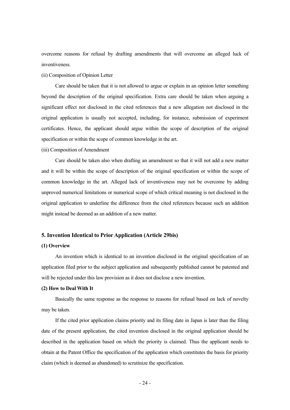overcome reasons for refusal by drafting amendments that will overcome an alleged luck of inventiveness.

(ii) Composition of Opinion Letter

 Care should be taken that it is not allowed to argue or explain in an opinion letter something beyond the description of the original specification. Extra care should be taken when arguing a significant effect not disclosed in the cited references that a new allegation not disclosed in the original application is usually not accepted, including, for instance, submission of experiment certificates. Hence, the applicant should argue within the scope of description of the original specification or within the scope of common knowledge in the art.

#### (iii) Composition of Amendment

 Care should be taken also when drafting an amendment so that it will not add a new matter and it will be within the scope of description of the original specification or within the scope of common knowledge in the art. Alleged lack of inventiveness may not be overcome by adding unproved numerical limitations or numerical scope of which critical meaning is not disclosed in the original application to underline the difference from the cited references because such an addition might instead be deemed as an addition of a new matter.

#### **5. Invention Identical to Prior Application (Article 29bis)**

#### **(1) Overview**

 An invention which is identical to an invention disclosed in the original specification of an application filed prior to the subject application and subsequently published cannot be patented and will be rejected under this law provision as it does not disclose a new invention.

#### **(2) How to Deal With It**

 Basically the same response as the response to reasons for refusal based on lack of novelty may be taken.

 If the cited prior application claims priority and its filing date in Japan is later than the filing date of the present application, the cited invention disclosed in the original application should be described in the application based on which the priority is claimed. Thus the applicant needs to obtain at the Patent Office the specification of the application which constitutes the basis for priority claim (which is deemed as abandoned) to scrutinize the specification.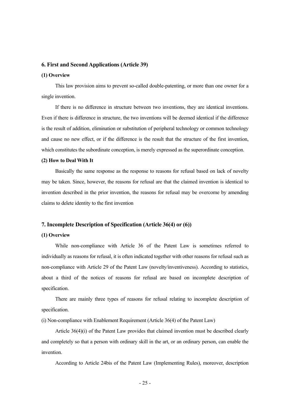#### **6. First and Second Applications (Article 39)**

#### **(1) Overview**

 This law provision aims to prevent so-called double-patenting, or more than one owner for a single invention.

 If there is no difference in structure between two inventions, they are identical inventions. Even if there is difference in structure, the two inventions will be deemed identical if the difference is the result of addition, elimination or substitution of peripheral technology or common technology and cause no new effect, or if the difference is the result that the structure of the first invention, which constitutes the subordinate conception, is merely expressed as the superordinate conception.

#### **(2) How to Deal With It**

 Basically the same response as the response to reasons for refusal based on lack of novelty may be taken. Since, however, the reasons for refusal are that the claimed invention is identical to invention described in the prior invention, the reasons for refusal may be overcome by amending claims to delete identity to the first invention

#### **7. Incomplete Description of Specification (Article 36(4) or (6))**

#### **(1) Overview**

 While non-compliance with Article 36 of the Patent Law is sometimes referred to individually as reasons for refusal, it is often indicated together with other reasons for refusal such as non-compliance with Article 29 of the Patent Law (novelty/inventiveness). According to statistics, about a third of the notices of reasons for refusal are based on incomplete description of specification.

 There are mainly three types of reasons for refusal relating to incomplete description of specification.

(i) Non-compliance with Enablement Requirement (Article 36(4) of the Patent Law)

 Article 36(4)(i) of the Patent Law provides that claimed invention must be described clearly and completely so that a person with ordinary skill in the art, or an ordinary person, can enable the invention.

According to Article 24bis of the Patent Law (Implementing Rules), moreover, description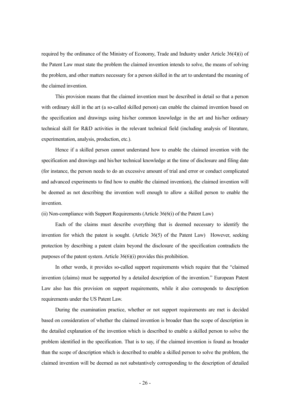required by the ordinance of the Ministry of Economy, Trade and Industry under Article 36(4)(i) of the Patent Law must state the problem the claimed invention intends to solve, the means of solving the problem, and other matters necessary for a person skilled in the art to understand the meaning of the claimed invention.

 This provision means that the claimed invention must be described in detail so that a person with ordinary skill in the art (a so-called skilled person) can enable the claimed invention based on the specification and drawings using his/her common knowledge in the art and his/her ordinary technical skill for R&D activities in the relevant technical field (including analysis of literature, experimentation, analysis, production, etc.).

 Hence if a skilled person cannot understand how to enable the claimed invention with the specification and drawings and his/her technical knowledge at the time of disclosure and filing date (for instance, the person needs to do an excessive amount of trial and error or conduct complicated and advanced experiments to find how to enable the claimed invention), the claimed invention will be deemed as not describing the invention well enough to allow a skilled person to enable the invention.

(ii) Non-compliance with Support Requirements (Article 36(6(i) of the Patent Law)

 Each of the claims must describe everything that is deemed necessary to identify the invention for which the patent is sought. (Article 36(5) of the Patent Law) However, seeking protection by describing a patent claim beyond the disclosure of the specification contradicts the purposes of the patent system. Article 36(6)(i) provides this prohibition.

 In other words, it provides so-called support requirements which require that the "claimed invention (claims) must be supported by a detailed description of the invention." European Patent Law also has this provision on support requirements, while it also corresponds to description requirements under the US Patent Law.

 During the examination practice, whether or not support requirements are met is decided based on consideration of whether the claimed invention is broader than the scope of description in the detailed explanation of the invention which is described to enable a skilled person to solve the problem identified in the specification. That is to say, if the claimed invention is found as broader than the scope of description which is described to enable a skilled person to solve the problem, the claimed invention will be deemed as not substantively corresponding to the description of detailed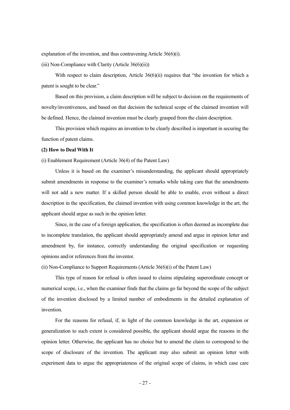explanation of the invention, and thus contravening Article 36(6)(i).

(iii) Non-Compliance with Clarity (Article  $36(6)(ii)$ )

With respect to claim description, Article 36(6)(ii) requires that "the invention for which a patent is sought to be clear."

 Based on this provision, a claim description will be subject to decision on the requirements of novelty/inventiveness, and based on that decision the technical scope of the claimed invention will be defined. Hence, the claimed invention must be clearly grasped from the claim description.

 This provision which requires an invention to be clearly described is important in securing the function of patent claims.

#### **(2) How to Deal With It**

(i) Enablement Requirement (Article 36(4) of the Patent Law)

 Unless it is based on the examiner's misunderstanding, the applicant should appropriately submit amendments in response to the examiner's remarks while taking care that the amendments will not add a new matter. If a skilled person should be able to enable, even without a direct description in the specification, the claimed invention with using common knowledge in the art, the applicant should argue as such in the opinion letter.

 Since, in the case of a foreign application, the specification is often deemed as incomplete due to incomplete translation, the applicant should appropriately amend and argue in opinion letter and amendment by, for instance, correctly understanding the original specification or requesting opinions and/or references from the inventor.

(ii) Non-Compliance to Support Requirements (Article 36(6)(i) of the Patent Law)

 This type of reason for refusal is often issued to claims stipulating superordinate concept or numerical scope, i.e., when the examiner finds that the claims go far beyond the scope of the subject of the invention disclosed by a limited number of embodiments in the detailed explanation of invention.

 For the reasons for refusal, if, in light of the common knowledge in the art, expansion or generalization to such extent is considered possible, the applicant should argue the reasons in the opinion letter. Otherwise, the applicant has no choice but to amend the claim to correspond to the scope of disclosure of the invention. The applicant may also submit an opinion letter with experiment data to argue the appropriateness of the original scope of claims, in which case care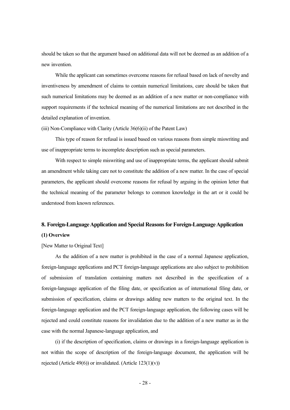should be taken so that the argument based on additional data will not be deemed as an addition of a new invention.

 While the applicant can sometimes overcome reasons for refusal based on lack of novelty and inventiveness by amendment of claims to contain numerical limitations, care should be taken that such numerical limitations may be deemed as an addition of a new matter or non-compliance with support requirements if the technical meaning of the numerical limitations are not described in the detailed explanation of invention.

(iii) Non-Compliance with Clarity (Article 36(6)(ii) of the Patent Law)

 This type of reason for refusal is issued based on various reasons from simple miswriting and use of inappropriate terms to incomplete description such as special parameters.

 With respect to simple miswriting and use of inappropriate terms, the applicant should submit an amendment while taking care not to constitute the addition of a new matter. In the case of special parameters, the applicant should overcome reasons for refusal by arguing in the opinion letter that the technical meaning of the parameter belongs to common knowledge in the art or it could be understood from known references.

## **8. Foreign-Language Application and Special Reasons for Foreign-Language Application (1) Overview**

[New Matter to Original Text]

 As the addition of a new matter is prohibited in the case of a normal Japanese application, foreign-language applications and PCT foreign-language applications are also subject to prohibition of submission of translation containing matters not described in the specification of a foreign-language application of the filing date, or specification as of international filing date, or submission of specification, claims or drawings adding new matters to the original text. In the foreign-language application and the PCT foreign-language application, the following cases will be rejected and could constitute reasons for invalidation due to the addition of a new matter as in the case with the normal Japanese-language application, and

 (i) if the description of specification, claims or drawings in a foreign-language application is not within the scope of description of the foreign-language document, the application will be rejected (Article 49 $(6)$ ) or invalidated. (Article 123 $(1)(v)$ )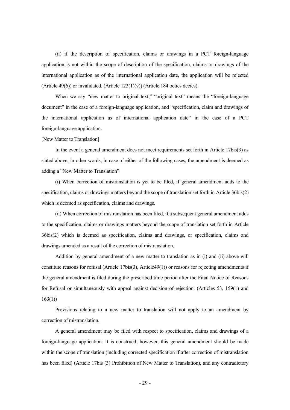(ii) if the description of specification, claims or drawings in a PCT foreign-language application is not within the scope of description of the specification, claims or drawings of the international application as of the international application date, the application will be rejected (Article 49(6)) or invalidated. (Article  $123(1)(v)$ ) (Article 184 octies decies).

When we say "new matter to original text," "original text" means the "foreign-language document" in the case of a foreign-language application, and "specification, claim and drawings of the international application as of international application date" in the case of a PCT foreign-language application.

#### [New Matter to Translation]

 In the event a general amendment does not meet requirements set forth in Article 17bis(3) as stated above, in other words, in case of either of the following cases, the amendment is deemed as adding a "New Matter to Translation":

 (i) When correction of mistranslation is yet to be filed, if general amendment adds to the specification, claims or drawings matters beyond the scope of translation set forth in Article 36bis(2) which is deemed as specification, claims and drawings.

 (ii) When correction of mistranslation has been filed, if a subsequent general amendment adds to the specification, claims or drawings matters beyond the scope of translation set forth in Article 36bis(2) which is deemed as specification, claims and drawings, or specification, claims and drawings amended as a result of the correction of mistranslation.

 Addition by general amendment of a new matter to translation as in (i) and (ii) above will constitute reasons for refusal (Article 17bis(3), Article49(1)) or reasons for rejecting amendments if the general amendment is filed during the prescribed time period after the Final Notice of Reasons for Refusal or simultaneously with appeal against decision of rejection. (Articles 53, 159(1) and 163(1))

 Provisions relating to a new matter to translation will not apply to an amendment by correction of mistranslation.

 A general amendment may be filed with respect to specification, claims and drawings of a foreign-language application. It is construed, however, this general amendment should be made within the scope of translation (including corrected specification if after correction of mistranslation has been filed) (Article 17bis (3) Prohibition of New Matter to Translation), and any contradictory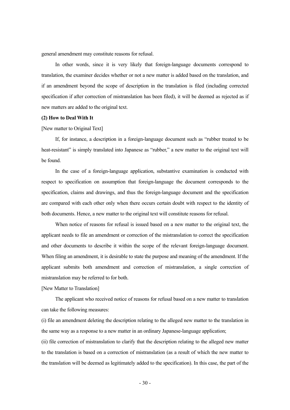general amendment may constitute reasons for refusal.

 In other words, since it is very likely that foreign-language documents correspond to translation, the examiner decides whether or not a new matter is added based on the translation, and if an amendment beyond the scope of description in the translation is filed (including corrected specification if after correction of mistranslation has been filed), it will be deemed as rejected as if new matters are added to the original text.

#### **(2) How to Deal With It**

#### [New matter to Original Text]

 If, for instance, a description in a foreign-language document such as "rubber treated to be heat-resistant" is simply translated into Japanese as "rubber," a new matter to the original text will be found.

 In the case of a foreign-language application, substantive examination is conducted with respect to specification on assumption that foreign-language the document corresponds to the specification, claims and drawings, and thus the foreign-language document and the specification are compared with each other only when there occurs certain doubt with respect to the identity of both documents. Hence, a new matter to the original text will constitute reasons for refusal.

 When notice of reasons for refusal is issued based on a new matter to the original text, the applicant needs to file an amendment or correction of the mistranslation to correct the specification and other documents to describe it within the scope of the relevant foreign-language document. When filing an amendment, it is desirable to state the purpose and meaning of the amendment. If the applicant submits both amendment and correction of mistranslation, a single correction of mistranslation may be referred to for both.

#### [New Matter to Translation]

 The applicant who received notice of reasons for refusal based on a new matter to translation can take the following measures:

(i) file an amendment deleting the description relating to the alleged new matter to the translation in the same way as a response to a new matter in an ordinary Japanese-language application;

(ii) file correction of mistranslation to clarify that the description relating to the alleged new matter to the translation is based on a correction of mistranslation (as a result of which the new matter to the translation will be deemed as legitimately added to the specification). In this case, the part of the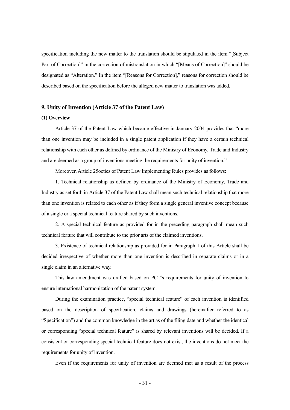specification including the new matter to the translation should be stipulated in the item "[Subject Part of Correction]" in the correction of mistranslation in which "[Means of Correction]" should be designated as "Alteration." In the item "[Reasons for Correction]," reasons for correction should be described based on the specification before the alleged new matter to translation was added.

#### **9. Unity of Invention (Article 37 of the Patent Law)**

#### **(1) Overview**

 Article 37 of the Patent Law which became effective in January 2004 provides that "more than one invention may be included in a single patent application if they have a certain technical relationship with each other as defined by ordinance of the Ministry of Economy, Trade and Industry and are deemed as a group of inventions meeting the requirements for unity of invention."

Moreover, Article 25octies of Patent Law Implementing Rules provides as follows:

 1. Technical relationship as defined by ordinance of the Ministry of Economy, Trade and Industry as set forth in Article 37 of the Patent Law shall mean such technical relationship that more than one invention is related to each other as if they form a single general inventive concept because of a single or a special technical feature shared by such inventions.

 2. A special technical feature as provided for in the preceding paragraph shall mean such technical feature that will contribute to the prior arts of the claimed inventions.

 3. Existence of technical relationship as provided for in Paragraph 1 of this Article shall be decided irrespective of whether more than one invention is described in separate claims or in a single claim in an alternative way.

 This law amendment was drafted based on PCT's requirements for unity of invention to ensure international harmonization of the patent system.

 During the examination practice, "special technical feature" of each invention is identified based on the description of specification, claims and drawings (hereinafter referred to as "Specification") and the common knowledge in the art as of the filing date and whether the identical or corresponding "special technical feature" is shared by relevant inventions will be decided. If a consistent or corresponding special technical feature does not exist, the inventions do not meet the requirements for unity of invention.

Even if the requirements for unity of invention are deemed met as a result of the process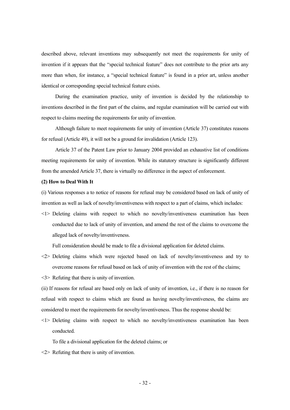described above, relevant inventions may subsequently not meet the requirements for unity of invention if it appears that the "special technical feature" does not contribute to the prior arts any more than when, for instance, a "special technical feature" is found in a prior art, unless another identical or corresponding special technical feature exists.

 During the examination practice, unity of invention is decided by the relationship to inventions described in the first part of the claims, and regular examination will be carried out with respect to claims meeting the requirements for unity of invention.

 Although failure to meet requirements for unity of invention (Article 37) constitutes reasons for refusal (Article 49), it will not be a ground for invalidation (Article 123).

 Article 37 of the Patent Law prior to January 2004 provided an exhaustive list of conditions meeting requirements for unity of invention. While its statutory structure is significantly different from the amended Article 37, there is virtually no difference in the aspect of enforcement.

#### **(2) How to Deal With It**

(i) Various responses a to notice of reasons for refusal may be considered based on lack of unity of invention as well as lack of novelty/inventiveness with respect to a part of claims, which includes:

<1> Deleting claims with respect to which no novelty/inventiveness examination has been conducted due to lack of unity of invention, and amend the rest of the claims to overcome the alleged lack of novelty/inventiveness.

Full consideration should be made to file a divisional application for deleted claims.

- <2> Deleting claims which were rejected based on lack of novelty/inventiveness and try to overcome reasons for refusal based on lack of unity of invention with the rest of the claims;
- <3> Refuting that there is unity of invention.

(ii) If reasons for refusal are based only on lack of unity of invention, i.e., if there is no reason for refusal with respect to claims which are found as having novelty/inventiveness, the claims are considered to meet the requirements for novelty/inventiveness. Thus the response should be:

<1> Deleting claims with respect to which no novelty/inventiveness examination has been conducted.

To file a divisional application for the deleted claims; or

<2> Refuting that there is unity of invention.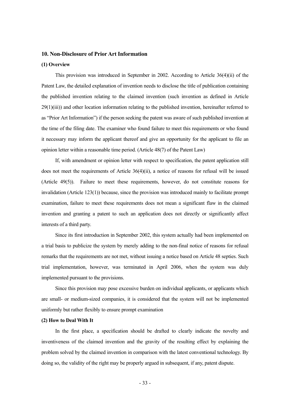#### **10. Non-Disclosure of Prior Art Information**

#### **(1) Overview**

 This provision was introduced in September in 2002. According to Article 36(4)(ii) of the Patent Law, the detailed explanation of invention needs to disclose the title of publication containing the published invention relating to the claimed invention (such invention as defined in Article  $29(1)(iii)$ ) and other location information relating to the published invention, hereinafter referred to as "Prior Art Information") if the person seeking the patent was aware of such published invention at the time of the filing date. The examiner who found failure to meet this requirements or who found it necessary may inform the applicant thereof and give an opportunity for the applicant to file an opinion letter within a reasonable time period. (Article 48(7) of the Patent Law)

 If, with amendment or opinion letter with respect to specification, the patent application still does not meet the requirements of Article  $36(4)(ii)$ , a notice of reasons for refusal will be issued (Article 49(5)). Failure to meet these requirements, however, do not constitute reasons for invalidation (Article 123(1)) because, since the provision was introduced mainly to facilitate prompt examination, failure to meet these requirements does not mean a significant flaw in the claimed invention and granting a patent to such an application does not directly or significantly affect interests of a third party.

 Since its first introduction in September 2002, this system actually had been implemented on a trial basis to publicize the system by merely adding to the non-final notice of reasons for refusal remarks that the requirements are not met, without issuing a notice based on Article 48 septies. Such trial implementation, however, was terminated in April 2006, when the system was duly implemented pursuant to the provisions.

 Since this provision may pose excessive burden on individual applicants, or applicants which are small- or medium-sized companies, it is considered that the system will not be implemented uniformly but rather flexibly to ensure prompt examination

#### **(2) How to Deal With It**

 In the first place, a specification should be drafted to clearly indicate the novelty and inventiveness of the claimed invention and the gravity of the resulting effect by explaining the problem solved by the claimed invention in comparison with the latest conventional technology. By doing so, the validity of the right may be properly argued in subsequent, if any, patent dispute.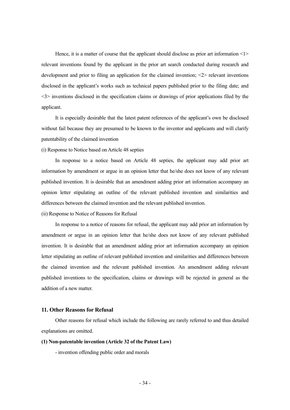Hence, it is a matter of course that the applicant should disclose as prior art information  $\leq l$ relevant inventions found by the applicant in the prior art search conducted during research and development and prior to filing an application for the claimed invention; <2> relevant inventions disclosed in the applicant's works such as technical papers published prior to the filing date; and <3> inventions disclosed in the specification claims or drawings of prior applications filed by the applicant.

 It is especially desirable that the latest patent references of the applicant's own be disclosed without fail because they are presumed to be known to the inventor and applicants and will clarify patentability of the claimed invention

(i) Response to Notice based on Article 48 septies

 In response to a notice based on Article 48 septies, the applicant may add prior art information by amendment or argue in an opinion letter that he/she does not know of any relevant published invention. It is desirable that an amendment adding prior art information accompany an opinion letter stipulating an outline of the relevant published invention and similarities and differences between the claimed invention and the relevant published invention.

(ii) Response to Notice of Reasons for Refusal

 In response to a notice of reasons for refusal, the applicant may add prior art information by amendment or argue in an opinion letter that he/she does not know of any relevant published invention. It is desirable that an amendment adding prior art information accompany an opinion letter stipulating an outline of relevant published invention and similarities and differences between the claimed invention and the relevant published invention. An amendment adding relevant published inventions to the specification, claims or drawings will be rejected in general as the addition of a new matter.

#### **11. Other Reasons for Refusal**

 Other reasons for refusal which include the following are rarely referred to and thus detailed explanations are omitted.

#### **(1) Non-patentable invention (Article 32 of the Patent Law)**

- invention offending public order and morals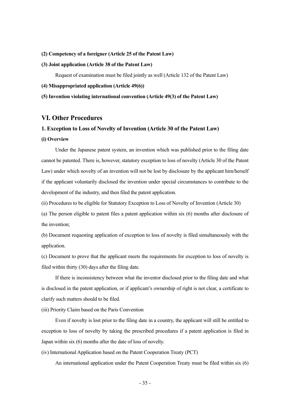#### **(2) Competency of a foreigner (Article 25 of the Patent Law)**

#### **(3) Joint application (Article 38 of the Patent Law)**

Request of examination must be filed jointly as well (Article 132 of the Patent Law)

#### **(4) Misappropriated application (Article 49(6))**

#### **(5) Invention violating international convention (Article 49(3) of the Patent Law)**

#### **VI. Other Procedures**

#### **1. Exception to Loss of Novelty of Invention (Article 30 of the Patent Law)**

#### **(i) Overview**

 Under the Japanese patent system, an invention which was published prior to the filing date cannot be patented. There is, however, statutory exception to loss of novelty (Article 30 of the Patent Law) under which novelty of an invention will not be lost by disclosure by the applicant him/herself if the applicant voluntarily disclosed the invention under special circumstances to contribute to the development of the industry, and then filed the patent application.

(ii) Procedures to be eligible for Statutory Exception to Loss of Novelty of Invention (Article 30)

(a) The person eligible to patent files a patent application within six (6) months after disclosure of the invention;

(b) Document requesting application of exception to loss of novelty is filed simultaneously with the application.

(c) Document to prove that the applicant meets the requirements for exception to loss of novelty is filed within thirty (30) days after the filing date.

 If there is inconsistency between what the inventor disclosed prior to the filing date and what is disclosed in the patent application, or if applicant's ownership of right is not clear, a certificate to clarify such matters should to be filed.

(iii) Priority Claim based on the Paris Convention

 Even if novelty is lost prior to the filing date in a country, the applicant will still be entitled to exception to loss of novelty by taking the prescribed procedures if a patent application is filed in Japan within six (6) months after the date of loss of novelty.

(iv) International Application based on the Patent Cooperation Treaty (PCT)

An international application under the Patent Cooperation Treaty must be filed within six (6)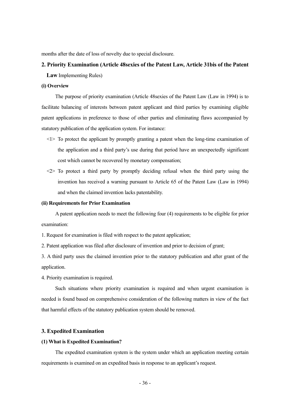months after the date of loss of novelty due to special disclosure.

#### **2. Priority Examination (Article 48sexies of the Patent Law, Article 31bis of the Patent**

**Law** Implementing Rules)

#### **(i) Overview**

 The purpose of priority examination (Article 48sexies of the Patent Law (Law in 1994) is to facilitate balancing of interests between patent applicant and third parties by examining eligible patent applications in preference to those of other parties and eliminating flaws accompanied by statutory publication of the application system. For instance:

- $\leq$  1> To protect the applicant by promptly granting a patent when the long-time examination of the application and a third party's use during that period have an unexpectedly significant cost which cannot be recovered by monetary compensation;
- $\langle 2 \rangle$  To protect a third party by promptly deciding refusal when the third party using the invention has received a warning pursuant to Article 65 of the Patent Law (Law in 1994) and when the claimed invention lacks patentability.

#### **(ii) Requirements for Prior Examination**

 A patent application needs to meet the following four (4) requirements to be eligible for prior examination:

1. Request for examination is filed with respect to the patent application;

2. Patent application was filed after disclosure of invention and prior to decision of grant;

3. A third party uses the claimed invention prior to the statutory publication and after grant of the application.

4. Priority examination is required.

 Such situations where priority examination is required and when urgent examination is needed is found based on comprehensive consideration of the following matters in view of the fact that harmful effects of the statutory publication system should be removed.

#### **3. Expedited Examination**

#### **(1) What is Expedited Examination?**

 The expedited examination system is the system under which an application meeting certain requirements is examined on an expedited basis in response to an applicant's request.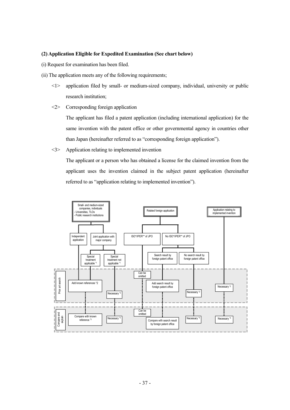#### **(2) Application Eligible for Expedited Examination (See chart below)**

- (i) Request for examination has been filed.
- (ii) The application meets any of the following requirements;
	- <1> application filed by small- or medium-sized company, individual, university or public research institution;
	- <2> Corresponding foreign application

 The applicant has filed a patent application (including international application) for the same invention with the patent office or other governmental agency in countries other than Japan (hereinafter referred to as "corresponding foreign application").

<3> Application relating to implemented invention

 The applicant or a person who has obtained a license for the claimed invention from the applicant uses the invention claimed in the subject patent application (hereinafter referred to as "application relating to implemented invention").

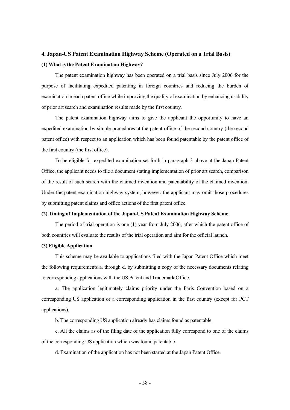## **4. Japan-US Patent Examination Highway Scheme (Operated on a Trial Basis) (1) What is the Patent Examination Highway?**

 The patent examination highway has been operated on a trial basis since July 2006 for the purpose of facilitating expedited patenting in foreign countries and reducing the burden of examination in each patent office while improving the quality of examination by enhancing usability of prior art search and examination results made by the first country.

 The patent examination highway aims to give the applicant the opportunity to have an expedited examination by simple procedures at the patent office of the second country (the second patent office) with respect to an application which has been found patentable by the patent office of the first country (the first office).

 To be eligible for expedited examination set forth in paragraph 3 above at the Japan Patent Office, the applicant needs to file a document stating implementation of prior art search, comparison of the result of such search with the claimed invention and patentability of the claimed invention. Under the patent examination highway system, however, the applicant may omit those procedures by submitting patent claims and office actions of the first patent office.

#### **(2) Timing of Implementation of the Japan-US Patent Examination Highway Scheme**

 The period of trial operation is one (1) year from July 2006, after which the patent office of both countries will evaluate the results of the trial operation and aim for the official launch.

#### **(3) Eligible Application**

 This scheme may be available to applications filed with the Japan Patent Office which meet the following requirements a. through d. by submitting a copy of the necessary documents relating to corresponding applications with the US Patent and Trademark Office.

 a. The application legitimately claims priority under the Paris Convention based on a corresponding US application or a corresponding application in the first country (except for PCT applications).

b. The corresponding US application already has claims found as patentable.

 c. All the claims as of the filing date of the application fully correspond to one of the claims of the corresponding US application which was found patentable.

d. Examination of the application has not been started at the Japan Patent Office.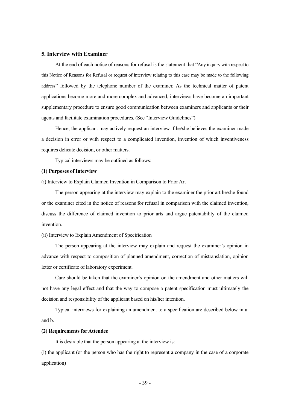#### **5. Interview with Examiner**

 At the end of each notice of reasons for refusal is the statement that "Any inquiry with respect to this Notice of Reasons for Refusal or request of interview relating to this case may be made to the following address" followed by the telephone number of the examiner. As the technical matter of patent applications become more and more complex and advanced, interviews have become an important supplementary procedure to ensure good communication between examiners and applicants or their agents and facilitate examination procedures. (See "Interview Guidelines")

 Hence, the applicant may actively request an interview if he/she believes the examiner made a decision in error or with respect to a complicated invention, invention of which inventiveness requires delicate decision, or other matters.

Typical interviews may be outlined as follows:

#### **(1) Purposes of Interview**

(i) Interview to Explain Claimed Invention in Comparison to Prior Art

 The person appearing at the interview may explain to the examiner the prior art he/she found or the examiner cited in the notice of reasons for refusal in comparison with the claimed invention, discuss the difference of claimed invention to prior arts and argue patentability of the claimed invention.

#### (ii) Interview to Explain Amendment of Specification

 The person appearing at the interview may explain and request the examiner's opinion in advance with respect to composition of planned amendment, correction of mistranslation, opinion letter or certificate of laboratory experiment.

 Care should be taken that the examiner's opinion on the amendment and other matters will not have any legal effect and that the way to compose a patent specification must ultimately the decision and responsibility of the applicant based on his/her intention.

 Typical interviews for explaining an amendment to a specification are described below in a. and b.

#### **(2) Requirements for Attendee**

It is desirable that the person appearing at the interview is:

(i) the applicant (or the person who has the right to represent a company in the case of a corporate application)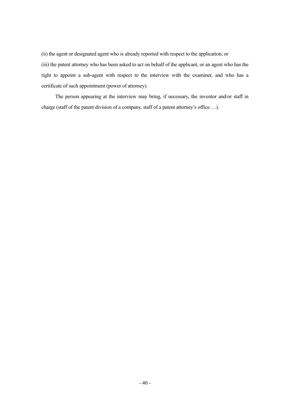(ii) the agent or designated agent who is already reported with respect to the application; or (iii) the patent attorney who has been asked to act on behalf of the applicant, or an agent who has the right to appoint a sub-agent with respect to the interview with the examiner, and who has a certificate of such appointment (power of attorney).

 The person appearing at the interview may bring, if necessary, the inventor and/or staff in charge (staff of the patent division of a company, staff of a patent attorney's office …).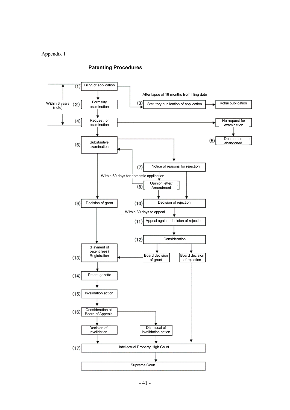#### Appendix 1



#### **Patenting Procedures**